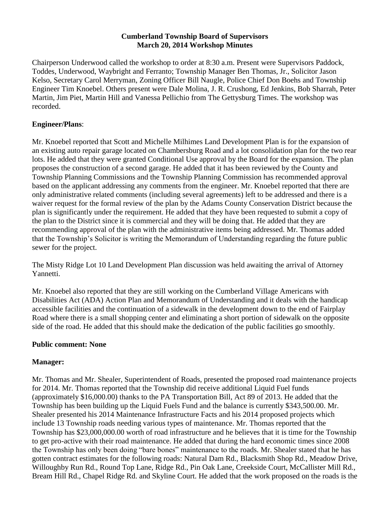### **Cumberland Township Board of Supervisors March 20, 2014 Workshop Minutes**

Chairperson Underwood called the workshop to order at 8:30 a.m. Present were Supervisors Paddock, Toddes, Underwood, Waybright and Ferranto; Township Manager Ben Thomas, Jr., Solicitor Jason Kelso, Secretary Carol Merryman, Zoning Officer Bill Naugle, Police Chief Don Boehs and Township Engineer Tim Knoebel. Others present were Dale Molina, J. R. Crushong, Ed Jenkins, Bob Sharrah, Peter Martin, Jim Piet, Martin Hill and Vanessa Pellichio from The Gettysburg Times. The workshop was recorded.

### **Engineer/Plans**:

Mr. Knoebel reported that Scott and Michelle Milhimes Land Development Plan is for the expansion of an existing auto repair garage located on Chambersburg Road and a lot consolidation plan for the two rear lots. He added that they were granted Conditional Use approval by the Board for the expansion. The plan proposes the construction of a second garage. He added that it has been reviewed by the County and Township Planning Commissions and the Township Planning Commission has recommended approval based on the applicant addressing any comments from the engineer. Mr. Knoebel reported that there are only administrative related comments (including several agreements) left to be addressed and there is a waiver request for the formal review of the plan by the Adams County Conservation District because the plan is significantly under the requirement. He added that they have been requested to submit a copy of the plan to the District since it is commercial and they will be doing that. He added that they are recommending approval of the plan with the administrative items being addressed. Mr. Thomas added that the Township's Solicitor is writing the Memorandum of Understanding regarding the future public sewer for the project.

The Misty Ridge Lot 10 Land Development Plan discussion was held awaiting the arrival of Attorney Yannetti.

Mr. Knoebel also reported that they are still working on the Cumberland Village Americans with Disabilities Act (ADA) Action Plan and Memorandum of Understanding and it deals with the handicap accessible facilities and the continuation of a sidewalk in the development down to the end of Fairplay Road where there is a small shopping center and eliminating a short portion of sidewalk on the opposite side of the road. He added that this should make the dedication of the public facilities go smoothly.

# **Public comment: None**

# **Manager:**

Mr. Thomas and Mr. Shealer, Superintendent of Roads, presented the proposed road maintenance projects for 2014. Mr. Thomas reported that the Township did receive additional Liquid Fuel funds (approximately \$16,000.00) thanks to the PA Transportation Bill, Act 89 of 2013. He added that the Township has been building up the Liquid Fuels Fund and the balance is currently \$343,500.00. Mr. Shealer presented his 2014 Maintenance Infrastructure Facts and his 2014 proposed projects which include 13 Township roads needing various types of maintenance. Mr. Thomas reported that the Township has \$23,000,000.00 worth of road infrastructure and he believes that it is time for the Township to get pro-active with their road maintenance. He added that during the hard economic times since 2008 the Township has only been doing "bare bones" maintenance to the roads. Mr. Shealer stated that he has gotten contract estimates for the following roads: Natural Dam Rd., Blacksmith Shop Rd., Meadow Drive, Willoughby Run Rd., Round Top Lane, Ridge Rd., Pin Oak Lane, Creekside Court, McCallister Mill Rd., Bream Hill Rd., Chapel Ridge Rd. and Skyline Court. He added that the work proposed on the roads is the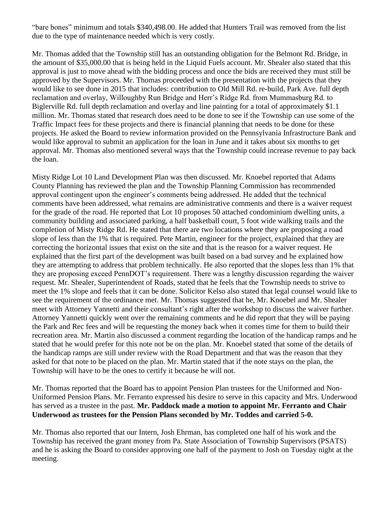"bare bones" minimum and totals \$340,498.00. He added that Hunters Trail was removed from the list due to the type of maintenance needed which is very costly.

Mr. Thomas added that the Township still has an outstanding obligation for the Belmont Rd. Bridge, in the amount of \$35,000.00 that is being held in the Liquid Fuels account. Mr. Shealer also stated that this approval is just to move ahead with the bidding process and once the bids are received they must still be approved by the Supervisors. Mr. Thomas proceeded with the presentation with the projects that they would like to see done in 2015 that includes: contribution to Old Mill Rd. re-build, Park Ave. full depth reclamation and overlay, Willoughby Run Bridge and Herr's Ridge Rd. from Mummasburg Rd. to Biglerville Rd. full depth reclamation and overlay and line painting for a total of approximately \$1.1 million. Mr. Thomas stated that research does need to be done to see if the Township can use some of the Traffic Impact fees for these projects and there is financial planning that needs to be done for these projects. He asked the Board to review information provided on the Pennsylvania Infrastructure Bank and would like approval to submit an application for the loan in June and it takes about six months to get approval. Mr. Thomas also mentioned several ways that the Township could increase revenue to pay back the loan.

Misty Ridge Lot 10 Land Development Plan was then discussed. Mr. Knoebel reported that Adams County Planning has reviewed the plan and the Township Planning Commission has recommended approval contingent upon the engineer's comments being addressed. He added that the technical comments have been addressed, what remains are administrative comments and there is a waiver request for the grade of the road. He reported that Lot 10 proposes 50 attached condominium dwelling units, a community building and associated parking, a half basketball court, 5 foot wide walking trails and the completion of Misty Ridge Rd. He stated that there are two locations where they are proposing a road slope of less than the 1% that is required. Pete Martin, engineer for the project, explained that they are correcting the horizontal issues that exist on the site and that is the reason for a waiver request. He explained that the first part of the development was built based on a bad survey and he explained how they are attempting to address that problem technically. He also reported that the slopes less than 1% that they are proposing exceed PennDOT's requirement. There was a lengthy discussion regarding the waiver request. Mr. Shealer, Superintendent of Roads, stated that he feels that the Township needs to strive to meet the 1% slope and feels that it can be done. Solicitor Kelso also stated that legal counsel would like to see the requirement of the ordinance met. Mr. Thomas suggested that he, Mr. Knoebel and Mr. Shealer meet with Attorney Yannetti and their consultant's right after the workshop to discuss the waiver further. Attorney Yannetti quickly went over the remaining comments and he did report that they will be paying the Park and Rec fees and will be requesting the money back when it comes time for them to build their recreation area. Mr. Martin also discussed a comment regarding the location of the handicap ramps and he stated that he would prefer for this note not be on the plan. Mr. Knoebel stated that some of the details of the handicap ramps are still under review with the Road Department and that was the reason that they asked for that note to be placed on the plan. Mr. Martin stated that if the note stays on the plan, the Township will have to be the ones to certify it because he will not.

Mr. Thomas reported that the Board has to appoint Pension Plan trustees for the Uniformed and Non-Uniformed Pension Plans. Mr. Ferranto expressed his desire to serve in this capacity and Mrs. Underwood has served as a trustee in the past. **Mr. Paddock made a motion to appoint Mr. Ferranto and Chair Underwood as trustees for the Pension Plans seconded by Mr. Toddes and carried 5-0.**

Mr. Thomas also reported that our Intern, Josh Ehrman, has completed one half of his work and the Township has received the grant money from Pa. State Association of Township Supervisors (PSATS) and he is asking the Board to consider approving one half of the payment to Josh on Tuesday night at the meeting.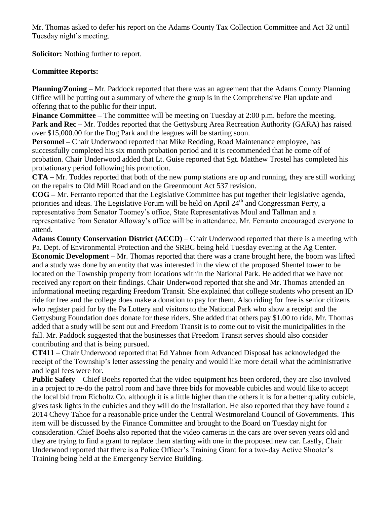Mr. Thomas asked to defer his report on the Adams County Tax Collection Committee and Act 32 until Tuesday night's meeting.

**Solicitor:** Nothing further to report.

# **Committee Reports:**

**Planning/Zoning** – Mr. Paddock reported that there was an agreement that the Adams County Planning Office will be putting out a summary of where the group is in the Comprehensive Plan update and offering that to the public for their input.

**Finance Committee –** The committee will be meeting on Tuesday at 2:00 p.m. before the meeting. P**ark and Rec –** Mr. Toddes reported that the Gettysburg Area Recreation Authority (GARA) has raised over \$15,000.00 for the Dog Park and the leagues will be starting soon.

**Personnel –** Chair Underwood reported that Mike Redding, Road Maintenance employee, has successfully completed his six month probation period and it is recommended that he come off of probation. Chair Underwood added that Lt. Guise reported that Sgt. Matthew Trostel has completed his probationary period following his promotion.

**CTA –** Mr. Toddes reported that both of the new pump stations are up and running, they are still working on the repairs to Old Mill Road and on the Greenmount Act 537 revision.

**COG –** Mr. Ferranto reported that the Legislative Committee has put together their legislative agenda, priorities and ideas. The Legislative Forum will be held on April  $24<sup>th</sup>$  and Congressman Perry, a representative from Senator Toomey's office, State Representatives Moul and Tallman and a representative from Senator Alloway's office will be in attendance. Mr. Ferranto encouraged everyone to attend.

**Adams County Conservation District (ACCD)** – Chair Underwood reported that there is a meeting with Pa. Dept. of Environmental Protection and the SRBC being held Tuesday evening at the Ag Center. **Economic Development** – Mr. Thomas reported that there was a crane brought here, the boom was lifted and a study was done by an entity that was interested in the view of the proposed Shentel tower to be located on the Township property from locations within the National Park. He added that we have not received any report on their findings. Chair Underwood reported that she and Mr. Thomas attended an informational meeting regarding Freedom Transit. She explained that college students who present an ID ride for free and the college does make a donation to pay for them. Also riding for free is senior citizens who register paid for by the Pa Lottery and visitors to the National Park who show a receipt and the Gettysburg Foundation does donate for these riders. She added that others pay \$1.00 to ride. Mr. Thomas added that a study will be sent out and Freedom Transit is to come out to visit the municipalities in the fall. Mr. Paddock suggested that the businesses that Freedom Transit serves should also consider contributing and that is being pursued.

**CT411** – Chair Underwood reported that Ed Yahner from Advanced Disposal has acknowledged the receipt of the Township's letter assessing the penalty and would like more detail what the administrative and legal fees were for.

**Public Safety** – Chief Boehs reported that the video equipment has been ordered, they are also involved in a project to re-do the patrol room and have three bids for moveable cubicles and would like to accept the local bid from Eicholtz Co. although it is a little higher than the others it is for a better quality cubicle, gives task lights in the cubicles and they will do the installation. He also reported that they have found a 2014 Chevy Tahoe for a reasonable price under the Central Westmoreland Council of Governments. This item will be discussed by the Finance Committee and brought to the Board on Tuesday night for consideration. Chief Boehs also reported that the video cameras in the cars are over seven years old and they are trying to find a grant to replace them starting with one in the proposed new car. Lastly, Chair Underwood reported that there is a Police Officer's Training Grant for a two-day Active Shooter's Training being held at the Emergency Service Building.